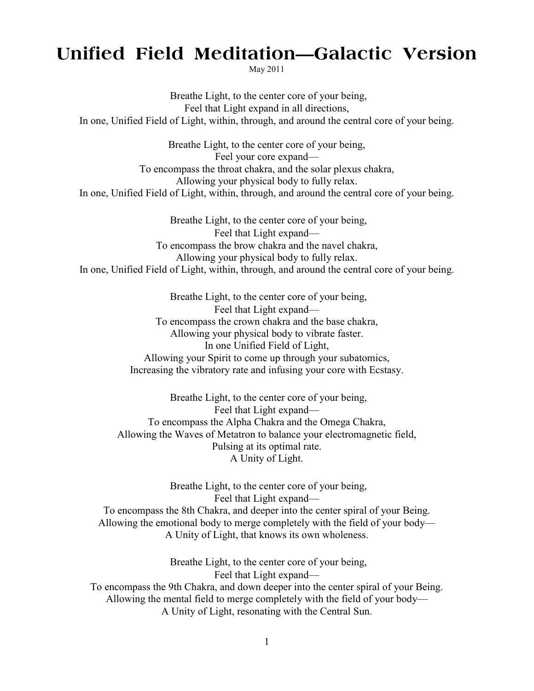## **Unified Field Meditation—Galactic Version**

May 2011

Breathe Light, to the center core of your being, Feel that Light expand in all directions, In one, Unified Field of Light, within, through, and around the central core of your being.

Breathe Light, to the center core of your being, Feel your core expand— To encompass the throat chakra, and the solar plexus chakra, Allowing your physical body to fully relax. In one, Unified Field of Light, within, through, and around the central core of your being.

Breathe Light, to the center core of your being, Feel that Light expand— To encompass the brow chakra and the navel chakra, Allowing your physical body to fully relax. In one, Unified Field of Light, within, through, and around the central core of your being.

> Breathe Light, to the center core of your being, Feel that Light expand— To encompass the crown chakra and the base chakra, Allowing your physical body to vibrate faster. In one Unified Field of Light, Allowing your Spirit to come up through your subatomics, Increasing the vibratory rate and infusing your core with Ecstasy.

Breathe Light, to the center core of your being, Feel that Light expand— To encompass the Alpha Chakra and the Omega Chakra, Allowing the Waves of Metatron to balance your electromagnetic field, Pulsing at its optimal rate. A Unity of Light.

Breathe Light, to the center core of your being, Feel that Light expand— To encompass the 8th Chakra, and deeper into the center spiral of your Being. Allowing the emotional body to merge completely with the field of your body— A Unity of Light, that knows its own wholeness.

Breathe Light, to the center core of your being, Feel that Light expand— To encompass the 9th Chakra, and down deeper into the center spiral of your Being. Allowing the mental field to merge completely with the field of your body— A Unity of Light, resonating with the Central Sun.